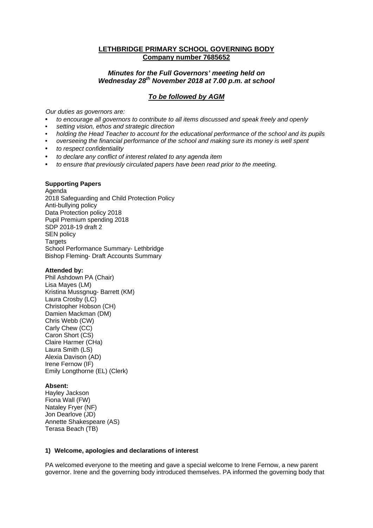# **LETHBRIDGE PRIMARY SCHOOL GOVERNING BODY Company number 7685652**

# *Minutes for the Full Governors' meeting held on Wednesday 28th November 2018 at 7.00 p.m. at school*

# *To be followed by AGM*

*Our duties as governors are:* 

- *to encourage all governors to contribute to all items discussed and speak freely and openly*
- *setting vision, ethos and strategic direction*
- *holding the Head Teacher to account for the educational performance of the school and its pupils*
- *overseeing the financial performance of the school and making sure its money is well spent*
- *to respect confidentiality*
- *to declare any conflict of interest related to any agenda item*
- *to ensure that previously circulated papers have been read prior to the meeting.*

#### **Supporting Papers**

Agenda 2018 Safeguarding and Child Protection Policy Anti-bullying policy Data Protection policy 2018 Pupil Premium spending 2018 SDP 2018-19 draft 2 SEN policy Targets School Performance Summary- Lethbridge Bishop Fleming- Draft Accounts Summary

# **Attended by:**

Phil Ashdown PA (Chair) Lisa Mayes (LM) Kristina Mussgnug- Barrett (KM) Laura Crosby (LC) Christopher Hobson (CH) Damien Mackman (DM) Chris Webb (CW) Carly Chew (CC) Caron Short (CS) Claire Harmer (CHa) Laura Smith (LS) Alexia Davison (AD) Irene Fernow (IF) Emily Longthorne (EL) (Clerk)

## **Absent:**

Hayley Jackson Fiona Wall (FW) Nataley Fryer (NF) Jon Dearlove (JD) Annette Shakespeare (AS) Terasa Beach (TB)

#### **1) Welcome, apologies and declarations of interest**

PA welcomed everyone to the meeting and gave a special welcome to Irene Fernow, a new parent governor. Irene and the governing body introduced themselves. PA informed the governing body that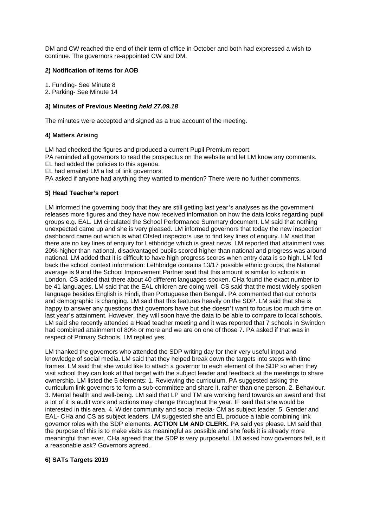DM and CW reached the end of their term of office in October and both had expressed a wish to continue. The governors re-appointed CW and DM.

#### **2) Notification of items for AOB**

1. Funding- See Minute 8

2. Parking- See Minute 14

#### **3) Minutes of Previous Meeting** *held 27.09.18*

The minutes were accepted and signed as a true account of the meeting.

#### **4) Matters Arising**

LM had checked the figures and produced a current Pupil Premium report.

PA reminded all governors to read the prospectus on the website and let LM know any comments. EL had added the policies to this agenda.

EL had emailed LM a list of link governors.

PA asked if anyone had anything they wanted to mention? There were no further comments.

# **5) Head Teacher's report**

LM informed the governing body that they are still getting last year's analyses as the government releases more figures and they have now received information on how the data looks regarding pupil groups e.g. EAL. LM circulated the School Performance Summary document. LM said that nothing unexpected came up and she is very pleased. LM informed governors that today the new inspection dashboard came out which is what Ofsted inspectors use to find key lines of enquiry. LM said that there are no key lines of enquiry for Lethbridge which is great news. LM reported that attainment was 20% higher than national, disadvantaged pupils scored higher than national and progress was around national. LM added that it is difficult to have high progress scores when entry data is so high. LM fed back the school context information: Lethbridge contains 13/17 possible ethnic groups, the National average is 9 and the School Improvement Partner said that this amount is similar to schools in London. CS added that there about 40 different languages spoken. CHa found the exact number to be 41 languages. LM said that the EAL children are doing well. CS said that the most widely spoken language besides English is Hindi, then Portuguese then Bengali. PA commented that our cohorts and demographic is changing. LM said that this features heavily on the SDP. LM said that she is happy to answer any questions that governors have but she doesn't want to focus too much time on last year's attainment. However, they will soon have the data to be able to compare to local schools. LM said she recently attended a Head teacher meeting and it was reported that 7 schools in Swindon had combined attainment of 80% or more and we are on one of those 7. PA asked if that was in respect of Primary Schools. LM replied yes.

LM thanked the governors who attended the SDP writing day for their very useful input and knowledge of social media. LM said that they helped break down the targets into steps with time frames. LM said that she would like to attach a governor to each element of the SDP so when they visit school they can look at that target with the subject leader and feedback at the meetings to share ownership. LM listed the 5 elements: 1. Reviewing the curriculum. PA suggested asking the curriculum link governors to form a sub-committee and share it, rather than one person. 2. Behaviour. 3. Mental health and well-being. LM said that LP and TM are working hard towards an award and that a lot of it is audit work and actions may change throughout the year. IF said that she would be interested in this area. 4. Wider community and social media- CM as subject leader. 5. Gender and EAL- CHa and CS as subject leaders. LM suggested she and EL produce a table combining link governor roles with the SDP elements. **ACTION LM AND CLERK.** PA said yes please. LM said that the purpose of this is to make visits as meaningful as possible and she feels it is already more meaningful than ever. CHa agreed that the SDP is very purposeful. LM asked how governors felt, is it a reasonable ask? Governors agreed.

#### **6) SATs Targets 2019**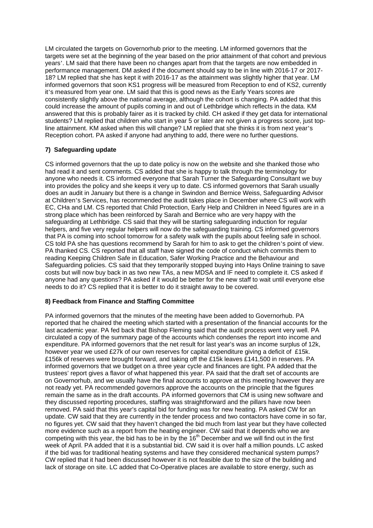LM circulated the targets on Governorhub prior to the meeting. LM informed governors that the targets were set at the beginning of the year based on the prior attainment of that cohort and previous years'. LM said that there have been no changes apart from that the targets are now embedded in performance management. DM asked if the document should say to be in line with 2016-17 or 2017- 18? LM replied that she has kept it with 2016-17 as the attainment was slightly higher that year. LM informed governors that soon KS1 progress will be measured from Reception to end of KS2, currently it's measured from year one. LM said that this is good news as the Early Years scores are consistently slightly above the national average, although the cohort is changing. PA added that this could increase the amount of pupils coming in and out of Lethbridge which reflects in the data. KM answered that this is probably fairer as it is tracked by child. CH asked if they get data for international students? LM replied that children who start in year 5 or later are not given a progress score, just topline attainment. KM asked when this will change? LM replied that she thinks it is from next year's Reception cohort. PA asked if anyone had anything to add, there were no further questions.

# **7) Safeguarding update**

CS informed governors that the up to date policy is now on the website and she thanked those who had read it and sent comments. CS added that she is happy to talk through the terminology for anyone who needs it. CS informed everyone that Sarah Turner the Safeguarding Consultant we buy into provides the policy and she keeps it very up to date. CS informed governors that Sarah usually does an audit in January but there is a change in Swindon and Bernice Weiss, Safeguarding Advisor at Children's Services, has recommended the audit takes place in December where CS will work with EC, CHa and LM. CS reported that Child Protection, Early Help and Children in Need figures are in a strong place which has been reinforced by Sarah and Bernice who are very happy with the safeguarding at Lethbridge. CS said that they will be starting safeguarding induction for regular helpers, and five very regular helpers will now do the safeguarding training. CS informed governors that PA is coming into school tomorrow for a safety walk with the pupils about feeling safe in school. CS told PA she has questions recommend by Sarah for him to ask to get the children's point of view. PA thanked CS. CS reported that all staff have signed the code of conduct which commits them to reading Keeping Children Safe in Education, Safer Working Practice and the Behaviour and Safeguarding policies. CS said that they temporarily stopped buying into Hays Online training to save costs but will now buy back in as two new TAs, a new MDSA and IF need to complete it. CS asked if anyone had any questions? PA asked if it would be better for the new staff to wait until everyone else needs to do it? CS replied that it is better to do it straight away to be covered.

## **8) Feedback from Finance and Staffing Committee**

PA informed governors that the minutes of the meeting have been added to Governorhub. PA reported that he chaired the meeting which started with a presentation of the financial accounts for the last academic year. PA fed back that Bishop Fleming said that the audit process went very well. PA circulated a copy of the summary page of the accounts which condenses the report into income and expenditure. PA informed governors that the net result for last year's was an income surplus of 12k, however year we used £27k of our own reserves for capital expenditure giving a deficit of £15k. £156k of reserves were brought forward, and taking off the £15k leaves £141,500 in reserves. PA informed governors that we budget on a three year cycle and finances are tight. PA added that the trustees' report gives a flavor of what happened this year. PA said that the draft set of accounts are on Governorhub, and we usually have the final accounts to approve at this meeting however they are not ready yet. PA recommended governors approve the accounts on the principle that the figures remain the same as in the draft accounts. PA informed governors that CM is using new software and they discussed reporting procedures, staffing was straightforward and the pillars have now been removed. PA said that this year's capital bid for funding was for new heating. PA asked CW for an update. CW said that they are currently in the tender process and two contactors have come in so far, no figures yet. CW said that they haven't changed the bid much from last year but they have collected more evidence such as a report from the heating engineer. CW said that it depends who we are competing with this year, the bid has to be in by the  $16<sup>th</sup>$  December and we will find out in the first week of April. PA added that it is a substantial bid. CW said it is over half a million pounds. LC asked if the bid was for traditional heating systems and have they considered mechanical system pumps? CW replied that it had been discussed however it is not feasible due to the size of the building and lack of storage on site. LC added that Co-Operative places are available to store energy, such as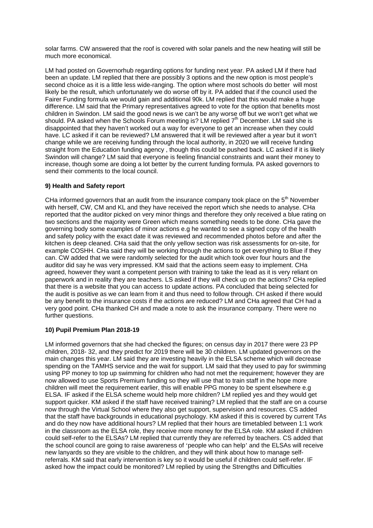solar farms. CW answered that the roof is covered with solar panels and the new heating will still be much more economical.

LM had posted on Governorhub regarding options for funding next year. PA asked LM if there had been an update. LM replied that there are possibly 3 options and the new option is most people's second choice as it is a little less wide-ranging. The option where most schools do better will most likely be the result, which unfortunately we do worse off by it. PA added that if the council used the Fairer Funding formula we would gain and additional 90k. LM replied that this would make a huge difference. LM said that the Primary representatives agreed to vote for the option that benefits most children in Swindon. LM said the good news is we can't be any worse off but we won't get what we should. PA asked when the Schools Forum meeting is? LM replied  $7<sup>th</sup>$  December. LM said she is disappointed that they haven't worked out a way for everyone to get an increase when they could have. LC asked if it can be reviewed? LM answered that it will be reviewed after a year but it won't change while we are receiving funding through the local authority, in 2020 we will receive funding straight from the Education funding agency , though this could be pushed back. LC asked if it is likely Swindon will change? LM said that everyone is feeling financial constraints and want their money to increase, though some are doing a lot better by the current funding formula. PA asked governors to send their comments to the local council.

## **9) Health and Safety report**

CHa informed governors that an audit from the insurance company took place on the  $5<sup>th</sup>$  November with herself, CW, CM and KL and they have received the report which she needs to analyse. CHa reported that the auditor picked on very minor things and therefore they only received a blue rating on two sections and the majority were Green which means something needs to be done. CHa gave the governing body some examples of minor actions e.g he wanted to see a signed copy of the health and safety policy with the exact date it was reviewed and recommended photos before and after the kitchen is deep cleaned. CHa said that the only yellow section was risk assessments for on-site, for example COSHH. CHa said they will be working through the actions to get everything to Blue if they can. CW added that we were randomly selected for the audit which took over four hours and the auditor did say he was very impressed. KM said that the actions seem easy to implement. CHa agreed, however they want a competent person with training to take the lead as it is very reliant on paperwork and in reality they are teachers. LS asked if they will check up on the actions? CHa replied that there is a website that you can access to update actions. PA concluded that being selected for the audit is positive as we can learn from it and thus need to follow through. CH asked if there would be any benefit to the insurance costs if the actions are reduced? LM and CHa agreed that CH had a very good point. CHa thanked CH and made a note to ask the insurance company. There were no further questions.

## **10) Pupil Premium Plan 2018-19**

LM informed governors that she had checked the figures; on census day in 2017 there were 23 PP children, 2018- 32, and they predict for 2019 there will be 30 children. LM updated governors on the main changes this year. LM said they are investing heavily in the ELSA scheme which will decrease spending on the TAMHS service and the wait for support. LM said that they used to pay for swimming using PP money to top up swimming for children who had not met the requirement; however they are now allowed to use Sports Premium funding so they will use that to train staff in the hope more children will meet the requirement earlier, this will enable PPG money to be spent elsewhere e.g ELSA. IF asked if the ELSA scheme would help more children? LM replied yes and they would get support quicker. KM asked if the staff have received training? LM replied that the staff are on a course now through the Virtual School where they also get support, supervision and resources. CS added that the staff have backgrounds in educational psychology. KM asked if this is covered by current TAs and do they now have additional hours? LM replied that their hours are timetabled between 1:1 work in the classroom as the ELSA role, they receive more money for the ELSA role. KM asked if children could self-refer to the ELSAs? LM replied that currently they are referred by teachers. CS added that the school council are going to raise awareness of 'people who can help' and the ELSAs will receive new lanyards so they are visible to the children, and they will think about how to manage selfreferrals. KM said that early intervention is key so it would be useful if children could self-refer. IF asked how the impact could be monitored? LM replied by using the Strengths and Difficulties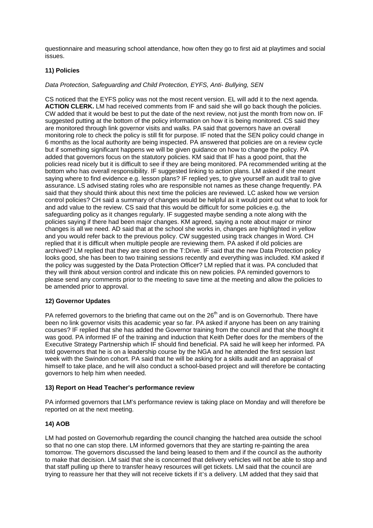questionnaire and measuring school attendance, how often they go to first aid at playtimes and social issues.

## **11) Policies**

#### *Data Protection, Safeguarding and Child Protection, EYFS, Anti- Bullying, SEN*

CS noticed that the EYFS policy was not the most recent version. EL will add it to the next agenda. **ACTION CLERK.** LM had received comments from IF and said she will go back though the policies. CW added that it would be best to put the date of the next review, not just the month from now on. IF suggested putting at the bottom of the policy information on how it is being monitored. CS said they are monitored through link governor visits and walks. PA said that governors have an overall monitoring role to check the policy is still fit for purpose. IF noted that the SEN policy could change in 6 months as the local authority are being inspected. PA answered that policies are on a review cycle but if something significant happens we will be given guidance on how to change the policy. PA added that governors focus on the statutory policies. KM said that IF has a good point, that the policies read nicely but it is difficult to see if they are being monitored. PA recommended writing at the bottom who has overall responsibility. IF suggested linking to action plans. LM asked if she meant saying where to find evidence e.g. lesson plans? IF replied yes, to give yourself an audit trail to give assurance. LS advised stating roles who are responsible not names as these change frequently. PA said that they should think about this next time the policies are reviewed. LC asked how we version control policies? CH said a summary of changes would be helpful as it would point out what to look for and add value to the review. CS said that this would be difficult for some policies e.g. the safeguarding policy as it changes regularly. IF suggested maybe sending a note along with the policies saying if there had been major changes. KM agreed, saying a note about major or minor changes is all we need. AD said that at the school she works in, changes are highlighted in yellow and you would refer back to the previous policy. CW suggested using track changes in Word. CH replied that it is difficult when multiple people are reviewing them. PA asked if old policies are archived? LM replied that they are stored on the T:Drive. IF said that the new Data Protection policy looks good, she has been to two training sessions recently and everything was included. KM asked if the policy was suggested by the Data Protection Officer? LM replied that it was. PA concluded that they will think about version control and indicate this on new policies. PA reminded governors to please send any comments prior to the meeting to save time at the meeting and allow the policies to be amended prior to approval.

## **12) Governor Updates**

PA referred governors to the briefing that came out on the 26<sup>th</sup> and is on Governorhub. There have been no link governor visits this academic year so far. PA asked if anyone has been on any training courses? IF replied that she has added the Governor training from the council and that she thought it was good. PA informed IF of the training and induction that Keith Defter does for the members of the Executive Strategy Partnership which IF should find beneficial. PA said he will keep her informed. PA told governors that he is on a leadership course by the NGA and he attended the first session last week with the Swindon cohort. PA said that he will be asking for a skills audit and an appraisal of himself to take place, and he will also conduct a school-based project and will therefore be contacting governors to help him when needed.

#### **13) Report on Head Teacher's performance review**

PA informed governors that LM's performance review is taking place on Monday and will therefore be reported on at the next meeting.

## **14) AOB**

LM had posted on Governorhub regarding the council changing the hatched area outside the school so that no one can stop there. LM informed governors that they are starting re-painting the area tomorrow. The governors discussed the land being leased to them and if the council as the authority to make that decision. LM said that she is concerned that delivery vehicles will not be able to stop and that staff pulling up there to transfer heavy resources will get tickets. LM said that the council are trying to reassure her that they will not receive tickets if it's a delivery. LM added that they said that